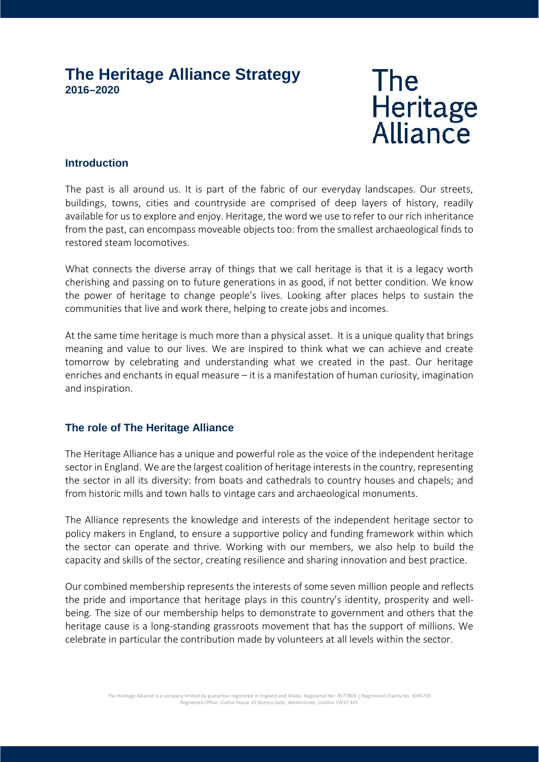# **The Heritage Alliance Strategy 2016–2020**

# **The** Heritage<br>Alliance

## **Introduction**

The past is all around us. It is part of the fabric of our everyday landscapes. Our streets, buildings, towns, cities and countryside are comprised of deep layers of history, readily available for us to explore and enjoy. Heritage, the word we use to refer to our rich inheritance from the past, can encompass moveable objects too: from the smallest archaeological finds to restored steam locomotives.

What connects the diverse array of things that we call heritage is that it is a legacy worth cherishing and passing on to future generations in as good, if not better condition. We know the power of heritage to change people's lives. Looking after places helps to sustain the communities that live and work there, helping to create jobs and incomes.

At the same time heritage is much more than a physical asset. It is a unique quality that brings meaning and value to our lives. We are inspired to think what we can achieve and create tomorrow by celebrating and understanding what we created in the past. Our heritage enriches and enchants in equal measure – it is a manifestation of human curiosity, imagination and inspiration.

## **The role of The Heritage Alliance**

The Heritage Alliance has a unique and powerful role as the voice of the independent heritage sector in England. We are the largest coalition of heritage interests in the country, representing the sector in all its diversity: from boats and cathedrals to country houses and chapels; and from historic mills and town halls to vintage cars and archaeological monuments.

The Alliance represents the knowledge and interests of the independent heritage sector to policy makers in England, to ensure a supportive policy and funding framework within which the sector can operate and thrive. Working with our members, we also help to build the capacity and skills of the sector, creating resilience and sharing innovation and best practice.

Our combined membership represents the interests of some seven million people and reflects the pride and importance that heritage plays in this country's identity, prosperity and well being. The size of our membership helps to demonstrate to government and others that the heritage cause is a long-standing grassroots movement that has the support of millions. We celebrate in particular the contribution made by volunteers at all levels within the sector.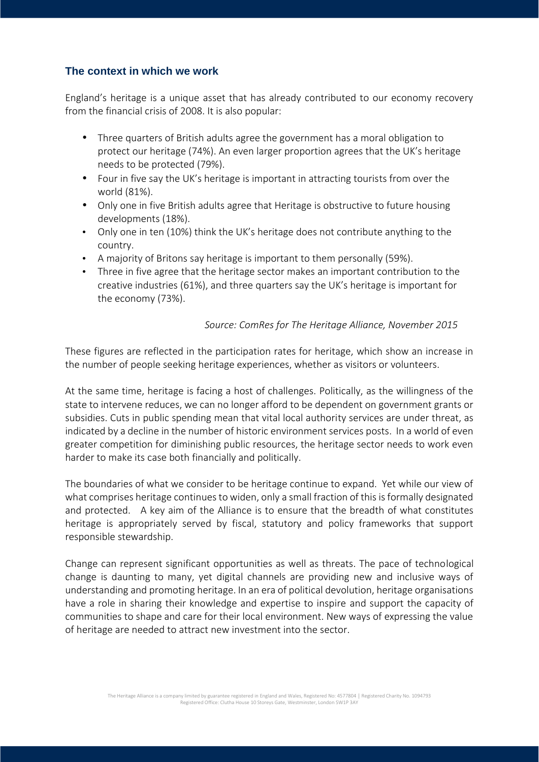## **The context in which we work**

England's heritage is a unique asset that has already contributed to our economy recovery from the financial crisis of 2008. It is also popular:

- Three quarters of British adults agree the government has a moral obligation to protect our heritage (74%). An even larger proportion agrees that the UK's heritage needs to be protected (79%).
- Four in five say the UK's heritage is important in attracting tourists from over the world (81%).
- Only one in five British adults agree that Heritage is obstructive to future housing developments (18%).
- Only one in ten (10%) think the UK's heritage does not contribute anything to the country.
- A majority of Britons say heritage is important to them personally (59%).
- Three in five agree that the heritage sector makes an important contribution to the creative industries (61%), and three quarters say the UK's heritage is important for the economy (73%).

## *Source: ComRes for The Heritage Alliance, November 2015*

These figures are reflected in the participation rates for heritage, which show an increase in the number of people seeking heritage experiences, whether as visitors or volunteers.

At the same time, heritage is facing a host of challenges. Politically, as the willingness of the state to intervene reduces, we can no longer afford to be dependent on government grants or subsidies. Cuts in public spending mean that vital local authority services are under threat, as indicated by a decline in the number of historic environment services posts. In a world of even greater competition for diminishing public resources, the heritage sector needs to work even harder to make its case both financially and politically.

The boundaries of what we consider to be heritage continue to expand. Yet while our view of what comprises heritage continues to widen, only a small fraction of this is formally designated and protected. A key aim of the Alliance is to ensure that the breadth of what constitutes heritage is appropriately served by fiscal, statutory and policy frameworks that support responsible stewardship.

Change can represent significant opportunities as well as threats. The pace of technological change is daunting to many, yet digital channels are providing new and inclusive ways of understanding and promoting heritage. In an era of political devolution, heritage organisations have a role in sharing their knowledge and expertise to inspire and support the capacity of communities to shape and care for their local environment. New ways of expressing the value of heritage are needed to attract new investment into the sector.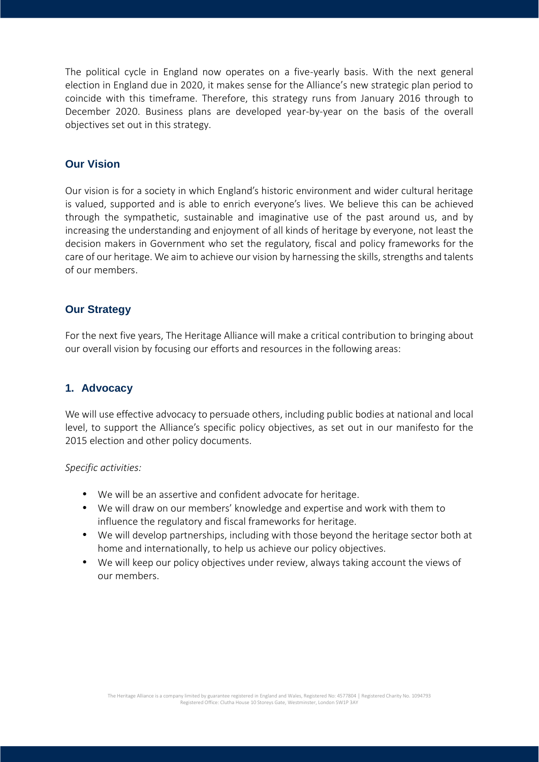The political cycle in England now operates on a five-yearly basis. With the next general election in England due in 2020, it makes sense for the Alliance's new strategic plan period to coincide with this timeframe. Therefore, this strategy runs from January 2016 through to December 2020. Business plans are developed year-by-year on the basis of the overall objectives set out in this strategy.

## **Our Vision**

Our vision is for a society in which England's historic environment and wider cultural heritage is valued, supported and is able to enrich everyone's lives. We believe this can be achieved through the sympathetic, sustainable and imaginative use of the past around us, and by increasing the understanding and enjoyment of all kinds of heritage by everyone, not least the decision makers in Government who set the regulatory, fiscal and policy frameworks for the care of our heritage. We aim to achieve our vision by harnessing the skills, strengths and talents of our members.

#### **Our Strategy**

For the next five years, The Heritage Alliance will make a critical contribution to bringing about our overall vision by focusing our efforts and resources in the following areas:

#### **1. Advocacy**

We will use effective advocacy to persuade others, including public bodies at national and local level, to support the Alliance's specific policy objectives, as set out in our manifesto for the 2015 election and other policy documents.

#### *Specific activities:*

- We will be an assertive and confident advocate for heritage.
- We will draw on our members' knowledge and expertise and work with them to influence the regulatory and fiscal frameworks for heritage.
- We will develop partnerships, including with those beyond the heritage sector both at home and internationally, to help us achieve our policy objectives.
- We will keep our policy objectives under review, always taking account the views of our members.